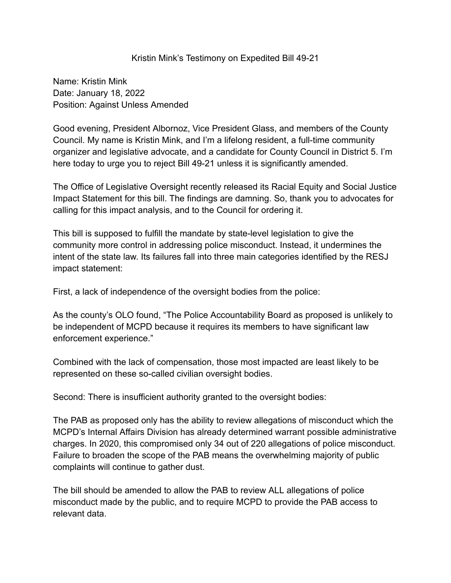## Kristin Mink's Testimony on Expedited Bill 49-21

Name: Kristin Mink Date: January 18, 2022 Position: Against Unless Amended

Good evening, President Albornoz, Vice President Glass, and members of the County Council. My name is Kristin Mink, and I'm a lifelong resident, a full-time community organizer and legislative advocate, and a candidate for County Council in District 5. I'm here today to urge you to reject Bill 49-21 unless it is significantly amended.

The Office of Legislative Oversight recently released its Racial Equity and Social Justice Impact Statement for this bill. The findings are damning. So, thank you to advocates for calling for this impact analysis, and to the Council for ordering it.

This bill is supposed to fulfill the mandate by state-level legislation to give the community more control in addressing police misconduct. Instead, it undermines the intent of the state law. Its failures fall into three main categories identified by the RESJ impact statement:

First, a lack of independence of the oversight bodies from the police:

As the county's OLO found, "The Police Accountability Board as proposed is unlikely to be independent of MCPD because it requires its members to have significant law enforcement experience."

Combined with the lack of compensation, those most impacted are least likely to be represented on these so-called civilian oversight bodies.

Second: There is insufficient authority granted to the oversight bodies:

The PAB as proposed only has the ability to review allegations of misconduct which the MCPD's Internal Affairs Division has already determined warrant possible administrative charges. In 2020, this compromised only 34 out of 220 allegations of police misconduct. Failure to broaden the scope of the PAB means the overwhelming majority of public complaints will continue to gather dust.

The bill should be amended to allow the PAB to review ALL allegations of police misconduct made by the public, and to require MCPD to provide the PAB access to relevant data.